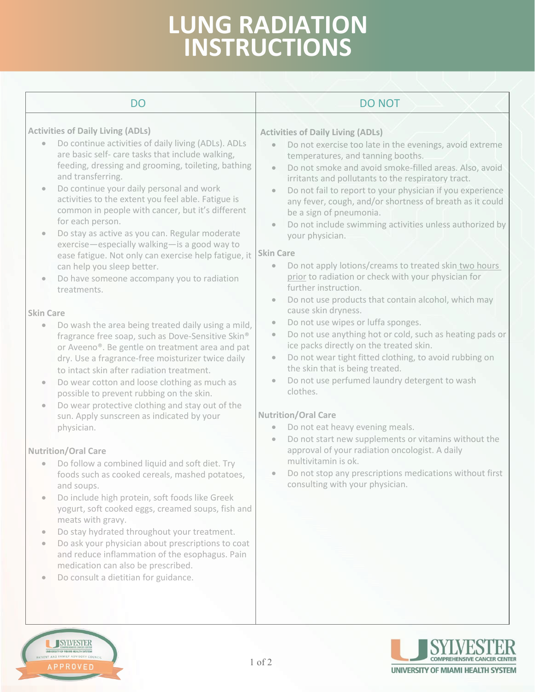## **LUNG RADIATION INSTRUCTIONS LUNG RADIATION INSTRUCTIONS**

| <b>DO</b>                                                                                                                                                                                                                                                                                                                                                                                                                                                                                                                                                                                                                                                                                                                                                                                                                                                                                                                                                                                                                                                                                                                                                                                                                                                                                                                                                                                                                                                                                                                                                                                                                                                                                                                                                                                        | <b>DO NOT</b>                                                                                                                                                                                                                                                                                                                                                                                                                                                                                                                                                                                                                                                                                                                                                                                                                                                                                                                                                                                                                                                                                                                                                                                                                                                                                                                                                                                                                                                                                                                                                                                             |
|--------------------------------------------------------------------------------------------------------------------------------------------------------------------------------------------------------------------------------------------------------------------------------------------------------------------------------------------------------------------------------------------------------------------------------------------------------------------------------------------------------------------------------------------------------------------------------------------------------------------------------------------------------------------------------------------------------------------------------------------------------------------------------------------------------------------------------------------------------------------------------------------------------------------------------------------------------------------------------------------------------------------------------------------------------------------------------------------------------------------------------------------------------------------------------------------------------------------------------------------------------------------------------------------------------------------------------------------------------------------------------------------------------------------------------------------------------------------------------------------------------------------------------------------------------------------------------------------------------------------------------------------------------------------------------------------------------------------------------------------------------------------------------------------------|-----------------------------------------------------------------------------------------------------------------------------------------------------------------------------------------------------------------------------------------------------------------------------------------------------------------------------------------------------------------------------------------------------------------------------------------------------------------------------------------------------------------------------------------------------------------------------------------------------------------------------------------------------------------------------------------------------------------------------------------------------------------------------------------------------------------------------------------------------------------------------------------------------------------------------------------------------------------------------------------------------------------------------------------------------------------------------------------------------------------------------------------------------------------------------------------------------------------------------------------------------------------------------------------------------------------------------------------------------------------------------------------------------------------------------------------------------------------------------------------------------------------------------------------------------------------------------------------------------------|
| <b>Activities of Daily Living (ADLs)</b><br>Do continue activities of daily living (ADLs). ADLs<br>$\bullet$<br>are basic self- care tasks that include walking,<br>feeding, dressing and grooming, toileting, bathing<br>and transferring.<br>Do continue your daily personal and work<br>$\bullet$<br>activities to the extent you feel able. Fatigue is<br>common in people with cancer, but it's different<br>for each person.<br>Do stay as active as you can. Regular moderate<br>exercise-especially walking-is a good way to<br>ease fatigue. Not only can exercise help fatigue, it<br>can help you sleep better.<br>Do have someone accompany you to radiation<br>$\bullet$<br>treatments.<br><b>Skin Care</b><br>Do wash the area being treated daily using a mild,<br>fragrance free soap, such as Dove-Sensitive Skin®<br>or Aveeno®. Be gentle on treatment area and pat<br>dry. Use a fragrance-free moisturizer twice daily<br>to intact skin after radiation treatment.<br>Do wear cotton and loose clothing as much as<br>$\bullet$<br>possible to prevent rubbing on the skin.<br>Do wear protective clothing and stay out of the<br>$\bullet$<br>sun. Apply sunscreen as indicated by your<br>physician.<br><b>Nutrition/Oral Care</b><br>Do follow a combined liquid and soft diet. Try<br>$\bullet$<br>foods such as cooked cereals, mashed potatoes,<br>and soups.<br>Do include high protein, soft foods like Greek<br>$\bullet$<br>yogurt, soft cooked eggs, creamed soups, fish and<br>meats with gravy.<br>Do stay hydrated throughout your treatment.<br>$\bullet$<br>Do ask your physician about prescriptions to coat<br>$\bullet$<br>and reduce inflammation of the esophagus. Pain<br>medication can also be prescribed.<br>Do consult a dietitian for guidance. | <b>Activities of Daily Living (ADLs)</b><br>Do not exercise too late in the evenings, avoid extreme<br>$\bullet$<br>temperatures, and tanning booths.<br>Do not smoke and avoid smoke-filled areas. Also, avoid<br>$\bullet$<br>irritants and pollutants to the respiratory tract.<br>Do not fail to report to your physician if you experience<br>$\hfill \textcircled{\ensuremath{\mathnormal{\sqcup}}\,}$<br>any fever, cough, and/or shortness of breath as it could<br>be a sign of pneumonia.<br>Do not include swimming activities unless authorized by<br>$\bullet$<br>your physician.<br><b>Skin Care</b><br>Do not apply lotions/creams to treated skin two hours<br>$\hfill \textcircled{\ensuremath{\mathnormal{\sqcup}}\,}$<br>prior to radiation or check with your physician for<br>further instruction.<br>Do not use products that contain alcohol, which may<br>$\bullet$<br>cause skin dryness.<br>Do not use wipes or luffa sponges.<br>$\bullet$<br>Do not use anything hot or cold, such as heating pads or<br>$\bullet$<br>ice packs directly on the treated skin.<br>Do not wear tight fitted clothing, to avoid rubbing on<br>$\bullet$<br>the skin that is being treated.<br>Do not use perfumed laundry detergent to wash<br>$\bullet$<br>clothes.<br><b>Nutrition/Oral Care</b><br>Do not eat heavy evening meals.<br>$\bullet$<br>Do not start new supplements or vitamins without the<br>$\bullet$<br>approval of your radiation oncologist. A daily<br>multivitamin is ok.<br>• Do not stop any prescriptions medications without first<br>consulting with your physician. |
| <b>SYLVESTER</b><br>UNIVERSITY OF MIAMI HEALTH SYSTEM<br>PATIENT AND FAMILY ADVISORY COUNCIL                                                                                                                                                                                                                                                                                                                                                                                                                                                                                                                                                                                                                                                                                                                                                                                                                                                                                                                                                                                                                                                                                                                                                                                                                                                                                                                                                                                                                                                                                                                                                                                                                                                                                                     | 1 of 2                                                                                                                                                                                                                                                                                                                                                                                                                                                                                                                                                                                                                                                                                                                                                                                                                                                                                                                                                                                                                                                                                                                                                                                                                                                                                                                                                                                                                                                                                                                                                                                                    |